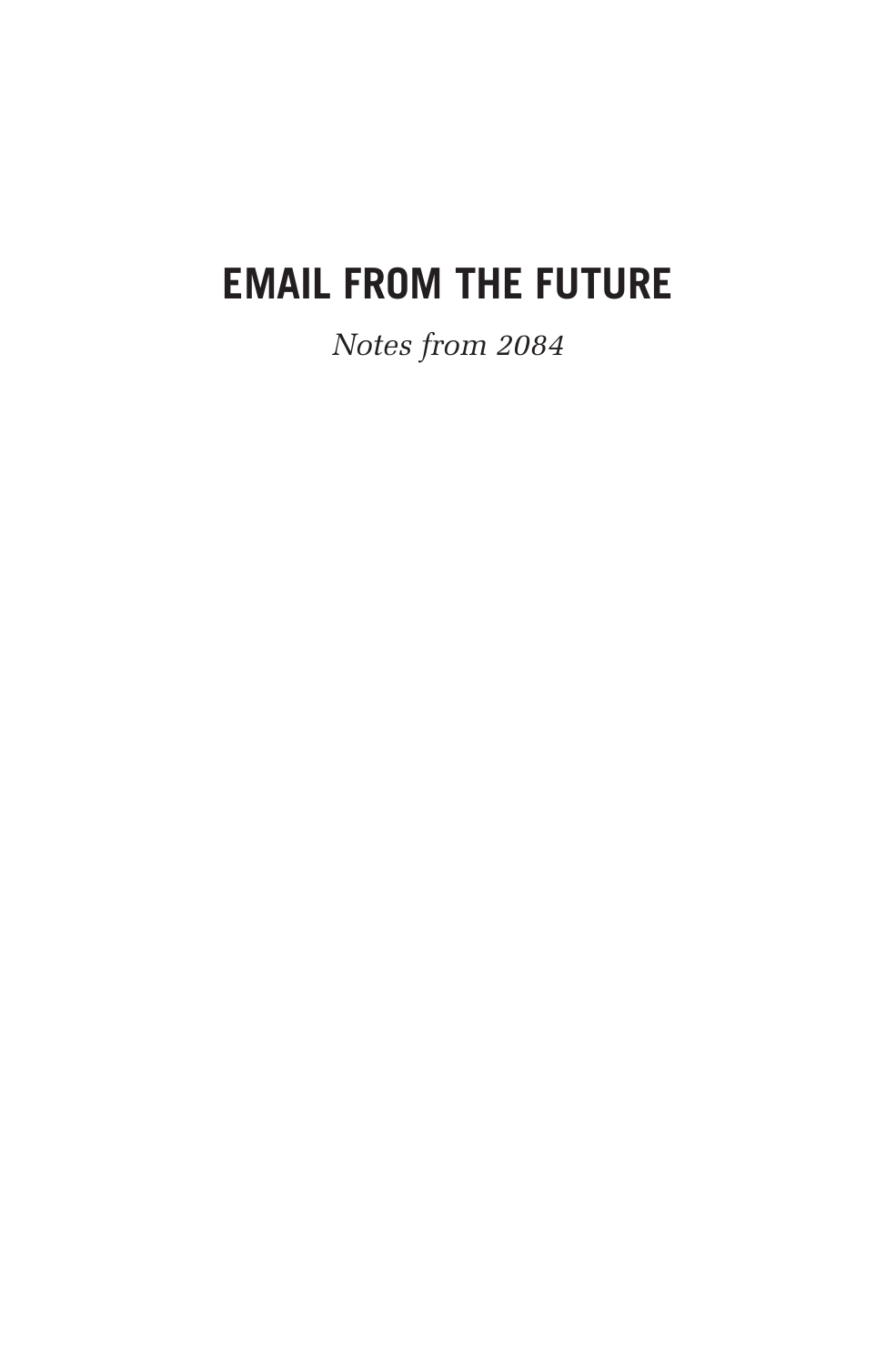# **EMAIL FROM THE FUTURE**

*Notes from 2084*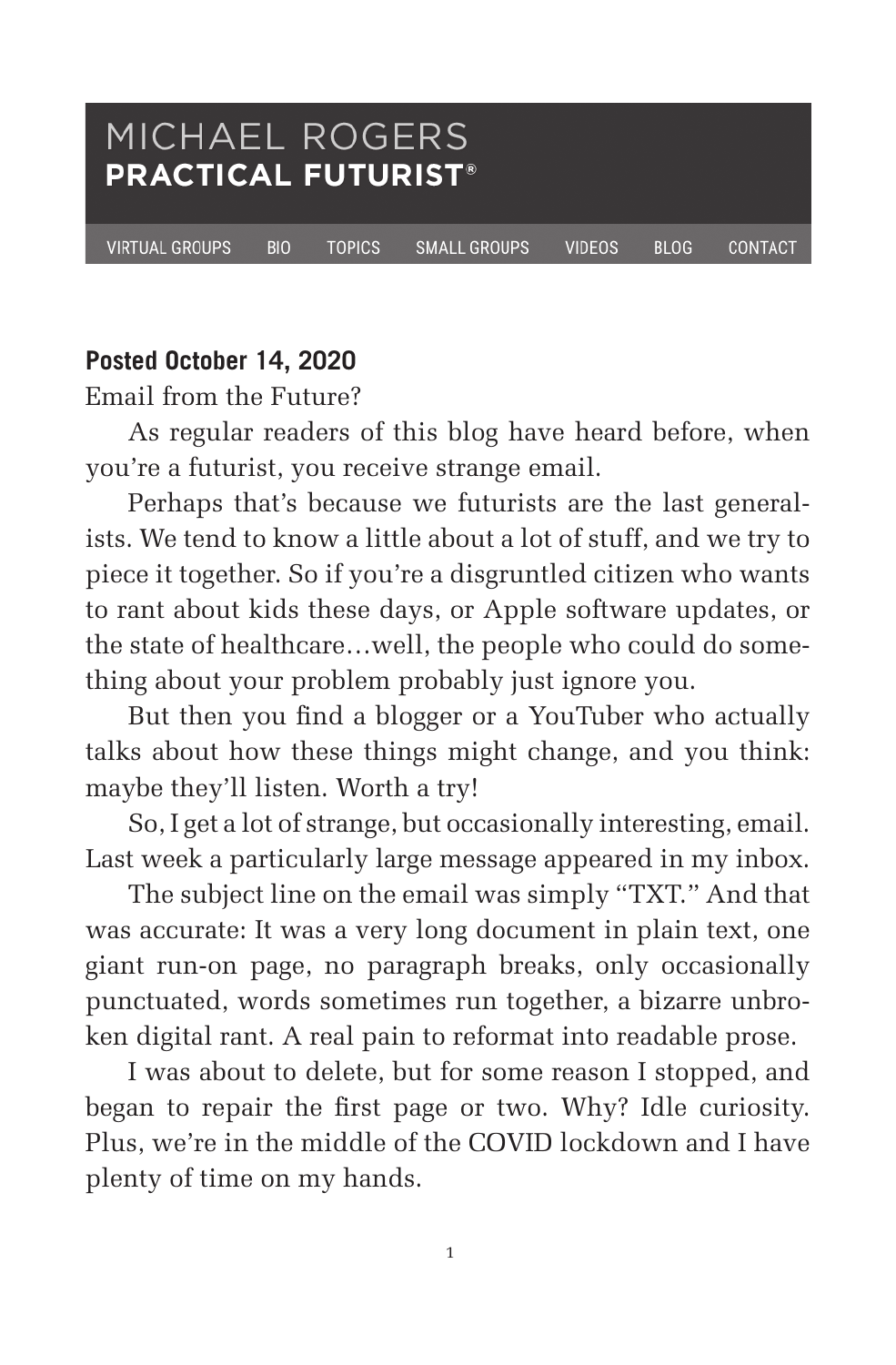### MICHAEL ROGERS **PRACTICAL FUTURIST®**

**VIRTUAL GROUPS** 

**BIO TOPICS**  **SMALL GROUPS** 

**VIDEOS** 

**BLOG** 

CONTACT

#### **Posted October 14, 2020**

Email from the Future?

As regular readers of this blog have heard before, when you're a futurist, you receive strange email.

Perhaps that's because we futurists are the last generalists. We tend to know a little about a lot of stuff, and we try to piece it together. So if you're a disgruntled citizen who wants to rant about kids these days, or Apple software updates, or the state of healthcare…well, the people who could do something about your problem probably just ignore you.

But then you find a blogger or a YouTuber who actually talks about how these things might change, and you think: maybe they'll listen. Worth a try!

So, I get a lot of strange, but occasionally interesting, email. Last week a particularly large message appeared in my inbox.

The subject line on the email was simply "TXT." And that was accurate: It was a very long document in plain text, one giant run-on page, no paragraph breaks, only occasionally punctuated, words sometimes run together, a bizarre unbroken digital rant. A real pain to reformat into readable prose.

I was about to delete, but for some reason I stopped, and began to repair the first page or two. Why? Idle curiosity. Plus, we're in the middle of the COVID lockdown and I have plenty of time on my hands.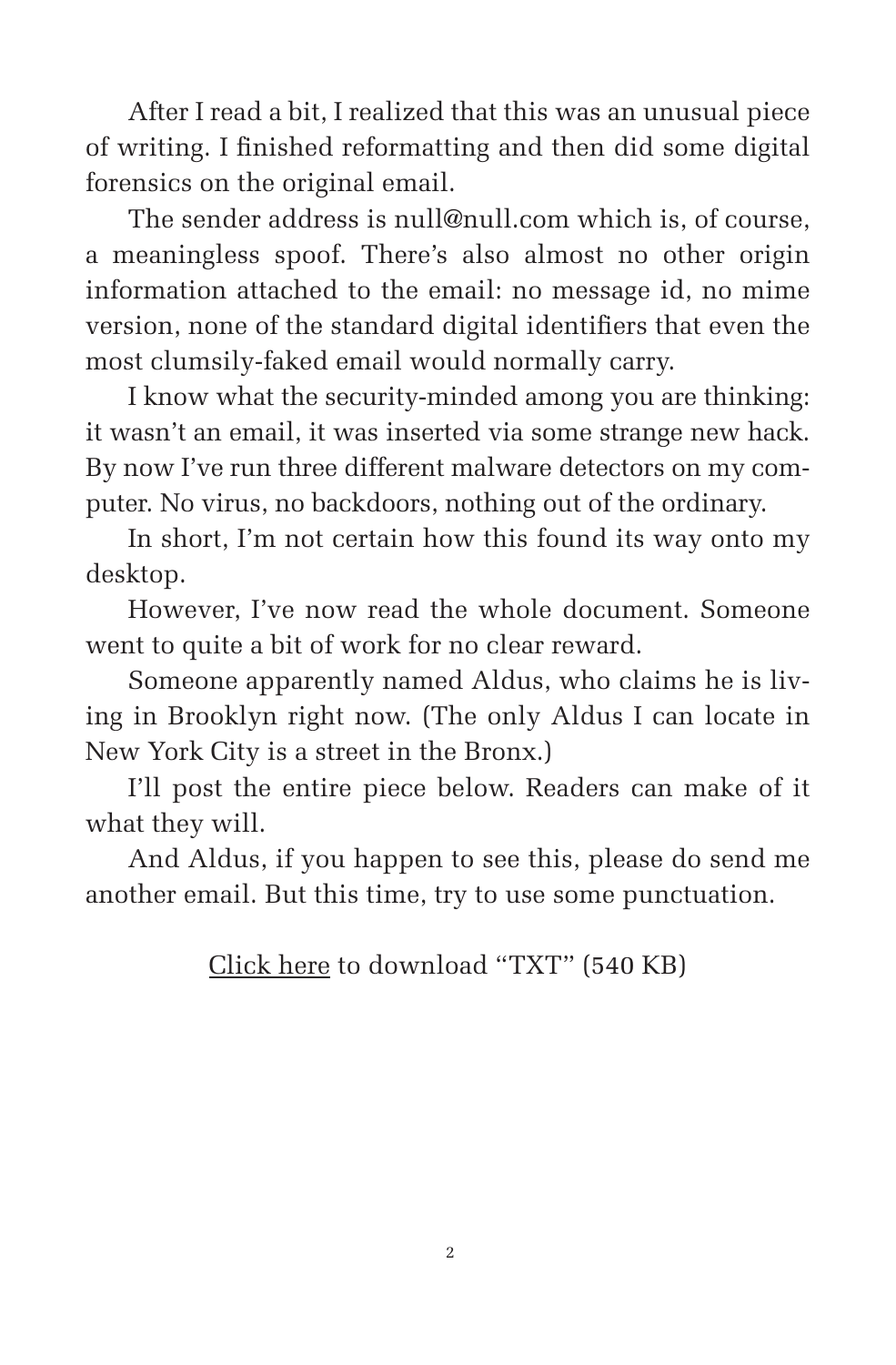After I read a bit, I realized that this was an unusual piece of writing. I finished reformatting and then did some digital forensics on the original email.

The sender address is null@null.com which is, of course, a meaningless spoof. There's also almost no other origin information attached to the email: no message id, no mime version, none of the standard digital identifiers that even the most clumsily-faked email would normally carry.

I know what the security-minded among you are thinking: it wasn't an email, it was inserted via some strange new hack. By now I've run three different malware detectors on my computer. No virus, no backdoors, nothing out of the ordinary.

In short, I'm not certain how this found its way onto my desktop.

However, I've now read the whole document. Someone went to quite a bit of work for no clear reward.

Someone apparently named Aldus, who claims he is living in Brooklyn right now. (The only Aldus I can locate in New York City is a street in the Bronx.)

I'll post the entire piece below. Readers can make of it what they will.

And Aldus, if you happen to see this, please do send me another email. But this time, try to use some punctuation.

Click here to download "TXT" (540 KB)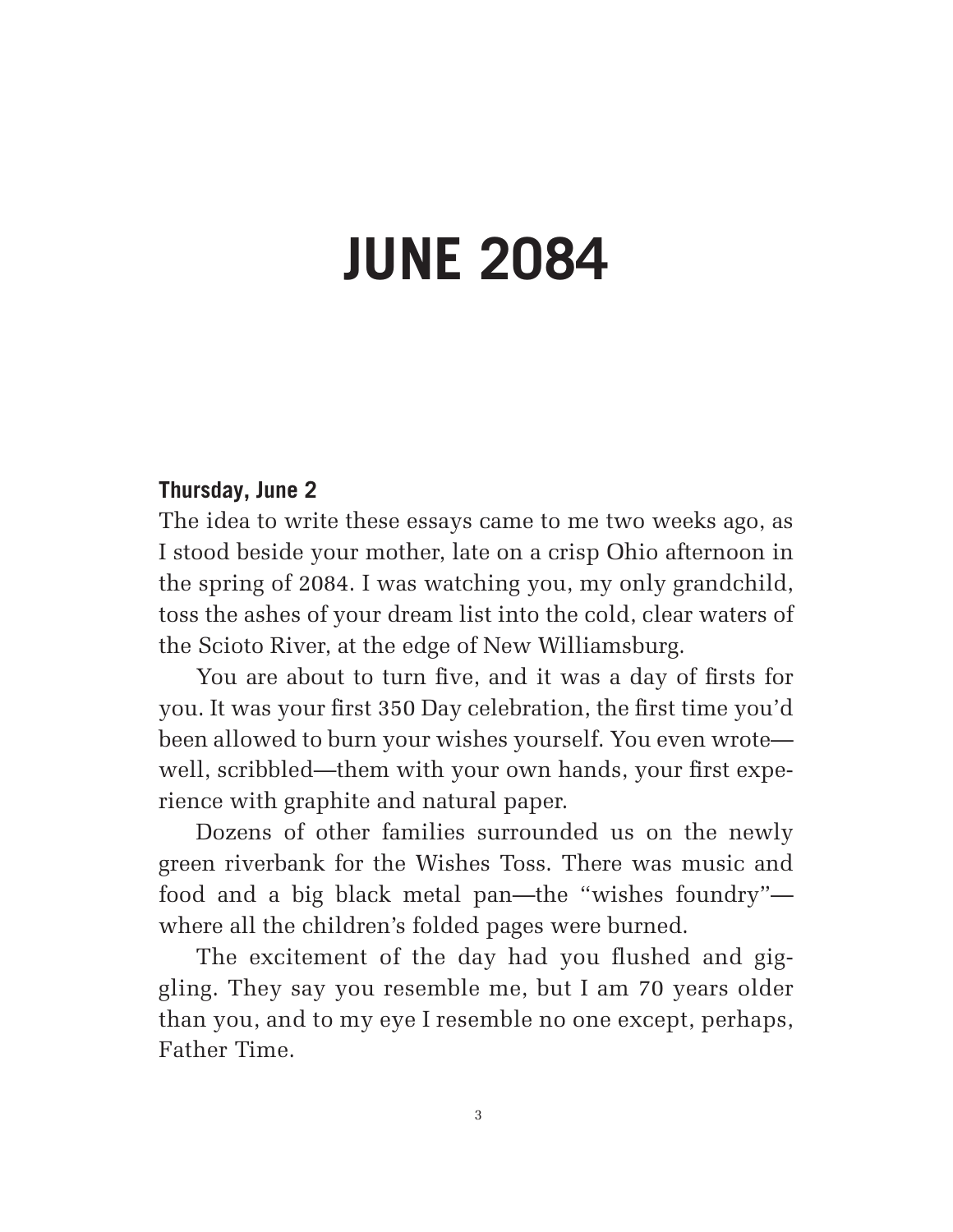# **JUNE 2084**

## **Thursday, June 2**

The idea to write these essays came to me two weeks ago, as I stood beside your mother, late on a crisp Ohio afternoon in the spring of 2084. I was watching you, my only grandchild, toss the ashes of your dream list into the cold, clear waters of the Scioto River, at the edge of New Williamsburg.

You are about to turn five, and it was a day of firsts for you. It was your first 350 Day celebration, the first time you'd been allowed to burn your wishes yourself. You even wrote well, scribbled—them with your own hands, your first experience with graphite and natural paper.

Dozens of other families surrounded us on the newly green riverbank for the Wishes Toss. There was music and food and a big black metal pan—the "wishes foundry" where all the children's folded pages were burned.

The excitement of the day had you flushed and giggling. They say you resemble me, but I am 70 years older than you, and to my eye I resemble no one except, perhaps, Father Time.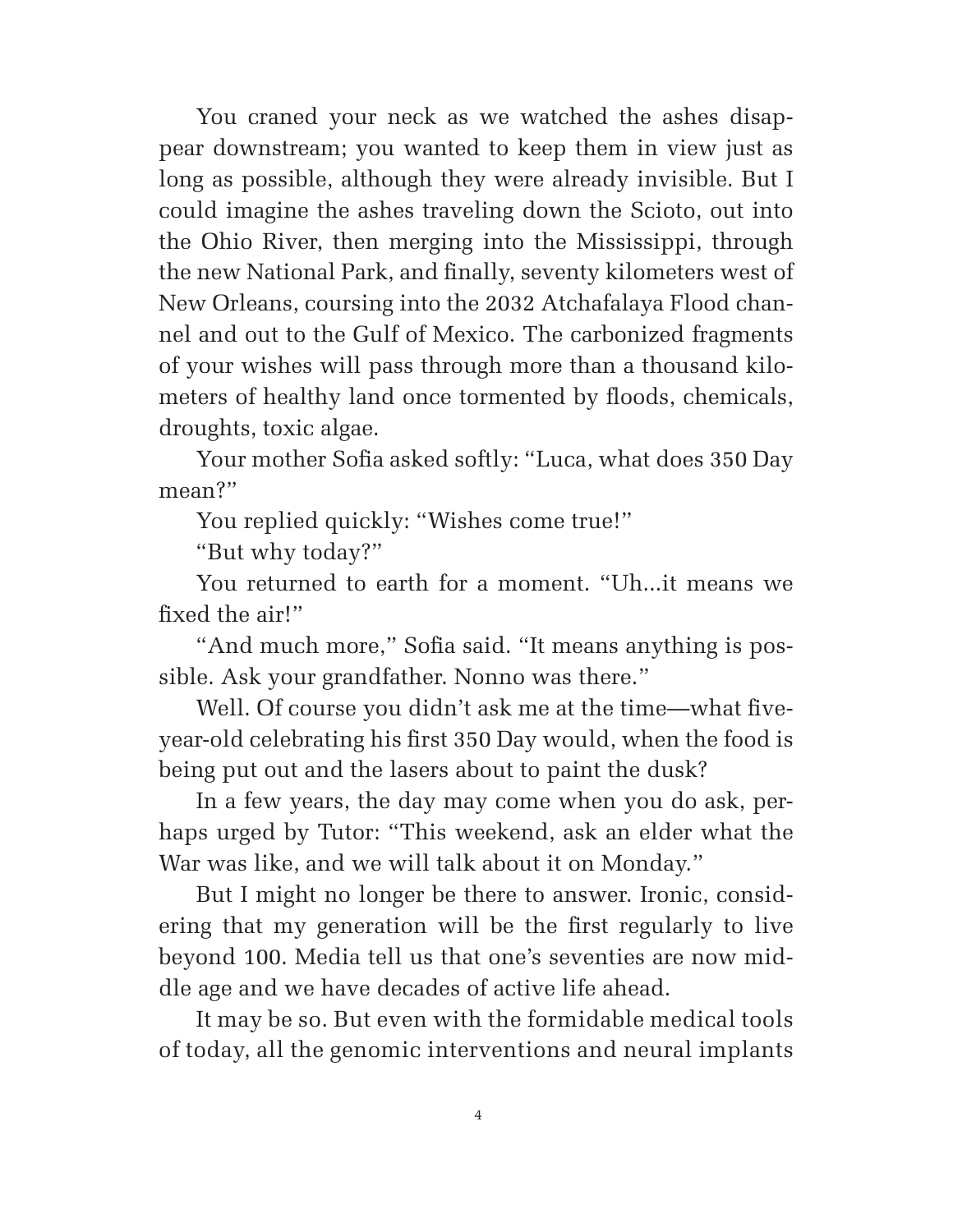You craned your neck as we watched the ashes disappear downstream; you wanted to keep them in view just as long as possible, although they were already invisible. But I could imagine the ashes traveling down the Scioto, out into the Ohio River, then merging into the Mississippi, through the new National Park, and finally, seventy kilometers west of New Orleans, coursing into the 2032 Atchafalaya Flood channel and out to the Gulf of Mexico. The carbonized fragments of your wishes will pass through more than a thousand kilometers of healthy land once tormented by floods, chemicals, droughts, toxic algae.

Your mother Sofia asked softly: "Luca, what does 350 Day mean?"

You replied quickly: "Wishes come true!"

"But why today?"

You returned to earth for a moment. "Uh...it means we fixed the air!"

"And much more," Sofia said. "It means anything is possible. Ask your grandfather. Nonno was there."

Well. Of course you didn't ask me at the time—what fiveyear-old celebrating his first 350 Day would, when the food is being put out and the lasers about to paint the dusk?

In a few years, the day may come when you do ask, perhaps urged by Tutor: "This weekend, ask an elder what the War was like, and we will talk about it on Monday."

But I might no longer be there to answer. Ironic, considering that my generation will be the first regularly to live beyond 100. Media tell us that one's seventies are now middle age and we have decades of active life ahead.

It may be so. But even with the formidable medical tools of today, all the genomic interventions and neural implants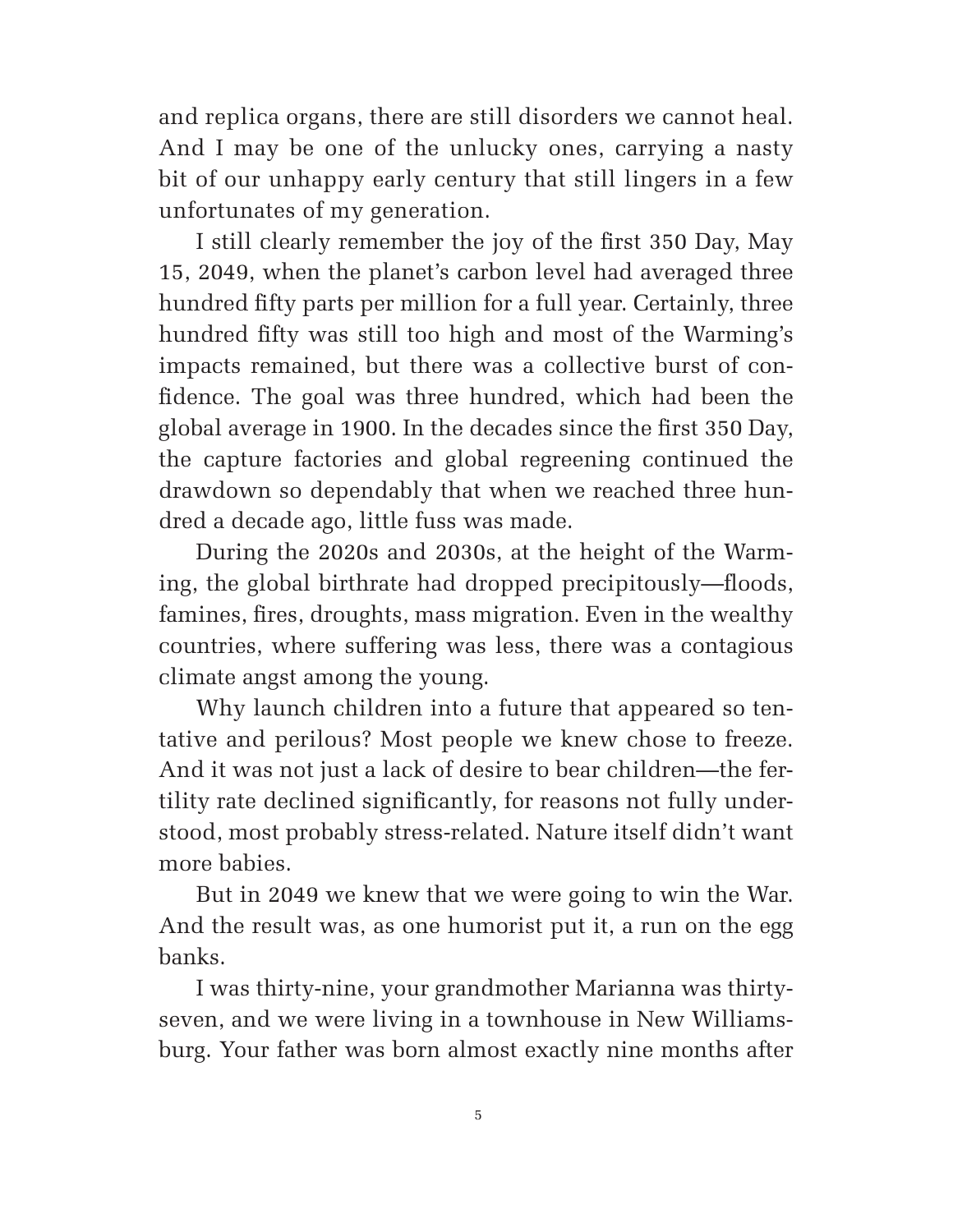and replica organs, there are still disorders we cannot heal. And I may be one of the unlucky ones, carrying a nasty bit of our unhappy early century that still lingers in a few unfortunates of my generation.

I still clearly remember the joy of the first 350 Day, May 15, 2049, when the planet's carbon level had averaged three hundred fifty parts per million for a full year. Certainly, three hundred fifty was still too high and most of the Warming's impacts remained, but there was a collective burst of con fidence. The goal was three hundred, which had been the global average in 1900. In the decades since the first 350 Day, the capture factories and global regreening continued the drawdown so dependably that when we reached three hundred a decade ago, little fuss was made.

During the 2020s and 2030s, at the height of the Warming, the global birthrate had dropped precipitously—floods, famines, fires, droughts, mass migration. Even in the wealthy countries, where suffering was less, there was a contagious climate angst among the young.

Why launch children into a future that appeared so tentative and perilous? Most people we knew chose to freeze. And it was not just a lack of desire to bear children—the fertility rate declined significantly, for reasons not fully understood, most probably stress-related. Nature itself didn't want more babies.

But in 2049 we knew that we were going to win the War. And the result was, as one humorist put it, a run on the egg banks.

I was thirty-nine, your grandmother Marianna was thirtyseven, and we were living in a townhouse in New Williamsburg. Your father was born almost exactly nine months after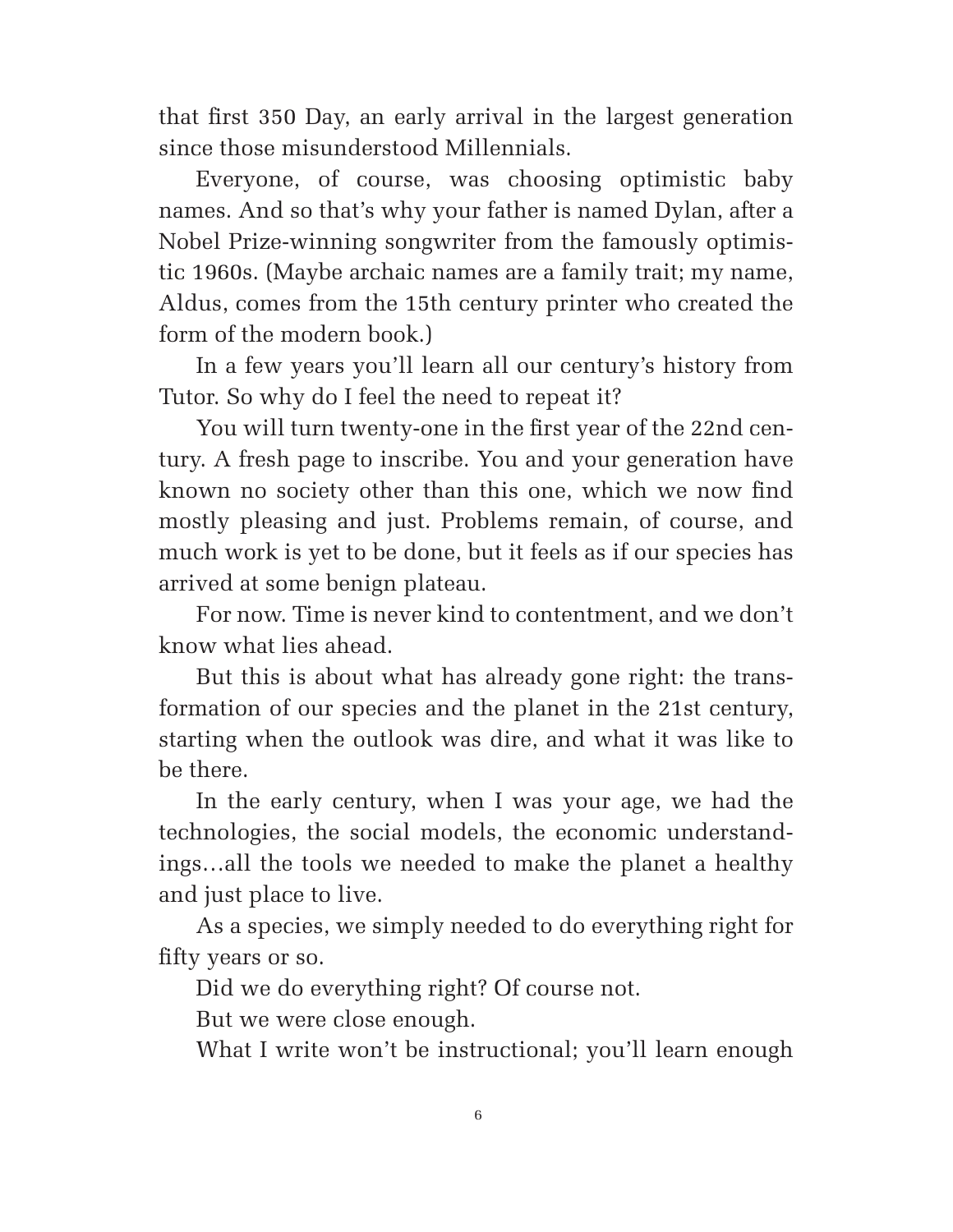that first 350 Day, an early arrival in the largest generation since those misunderstood Millennials.

Everyone, of course, was choosing optimistic baby names. And so that's why your father is named Dylan, after a Nobel Prize-winning songwriter from the famously optimistic 1960s. (Maybe archaic names are a family trait; my name, Aldus, comes from the 15th century printer who created the form of the modern book.)

In a few years you'll learn all our century's history from Tutor. So why do I feel the need to repeat it?

You will turn twenty-one in the first year of the 22nd century. A fresh page to inscribe. You and your generation have known no society other than this one, which we now find mostly pleasing and just. Problems remain, of course, and much work is yet to be done, but it feels as if our species has arrived at some benign plateau.

For now. Time is never kind to contentment, and we don't know what lies ahead.

But this is about what has already gone right: the transformation of our species and the planet in the 21st century, starting when the outlook was dire, and what it was like to be there.

In the early century, when I was your age, we had the technologies, the social models, the economic understandings…all the tools we needed to make the planet a healthy and just place to live.

As a species, we simply needed to do everything right for fifty years or so.

Did we do everything right? Of course not.

But we were close enough.

What I write won't be instructional; you'll learn enough